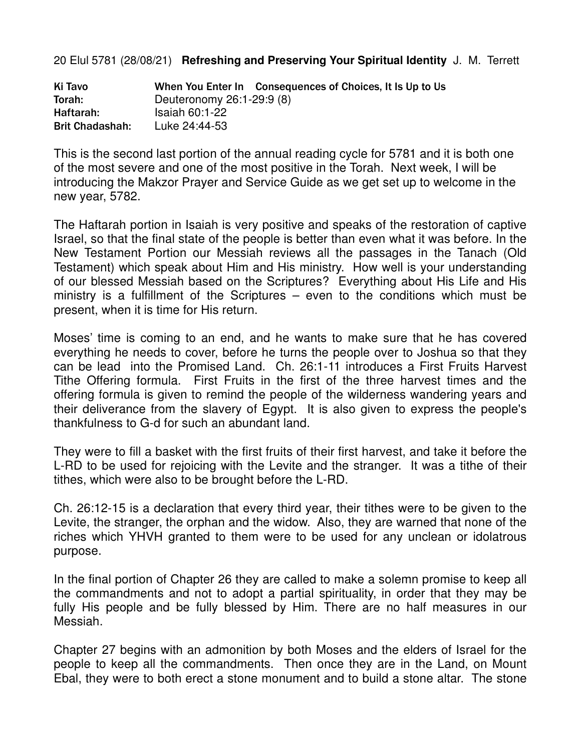20 Elul 5781 (28/08/21) **Refreshing and Preserving Your Spiritual Identity** J. M. Terrett

| Ki Tavo                |                           | When You Enter In Consequences of Choices, It Is Up to Us |  |
|------------------------|---------------------------|-----------------------------------------------------------|--|
| Torah:                 | Deuteronomy 26:1-29:9 (8) |                                                           |  |
| Haftarah:              | $Isaiah 60.1-22$          |                                                           |  |
| <b>Brit Chadashah:</b> | Luke 24:44-53             |                                                           |  |

This is the second last portion of the annual reading cycle for 5781 and it is both one of the most severe and one of the most positive in the Torah. Next week, I will be introducing the Makzor Prayer and Service Guide as we get set up to welcome in the new year, 5782.

The Haftarah portion in Isaiah is very positive and speaks of the restoration of captive Israel, so that the final state of the people is better than even what it was before. In the New Testament Portion our Messiah reviews all the passages in the Tanach (Old Testament) which speak about Him and His ministry. How well is your understanding of our blessed Messiah based on the Scriptures? Everything about His Life and His ministry is a fulfillment of the Scriptures – even to the conditions which must be present, when it is time for His return.

Moses' time is coming to an end, and he wants to make sure that he has covered everything he needs to cover, before he turns the people over to Joshua so that they can be lead into the Promised Land. Ch. 26:1-11 introduces a First Fruits Harvest Tithe Offering formula. First Fruits in the first of the three harvest times and the offering formula is given to remind the people of the wilderness wandering years and their deliverance from the slavery of Egypt. It is also given to express the people's thankfulness to G-d for such an abundant land.

They were to fill a basket with the first fruits of their first harvest, and take it before the L-RD to be used for rejoicing with the Levite and the stranger. It was a tithe of their tithes, which were also to be brought before the L-RD.

Ch. 26:12-15 is a declaration that every third year, their tithes were to be given to the Levite, the stranger, the orphan and the widow. Also, they are warned that none of the riches which YHVH granted to them were to be used for any unclean or idolatrous purpose.

In the final portion of Chapter 26 they are called to make a solemn promise to keep all the commandments and not to adopt a partial spirituality, in order that they may be fully His people and be fully blessed by Him. There are no half measures in our Messiah.

Chapter 27 begins with an admonition by both Moses and the elders of Israel for the people to keep all the commandments. Then once they are in the Land, on Mount Ebal, they were to both erect a stone monument and to build a stone altar. The stone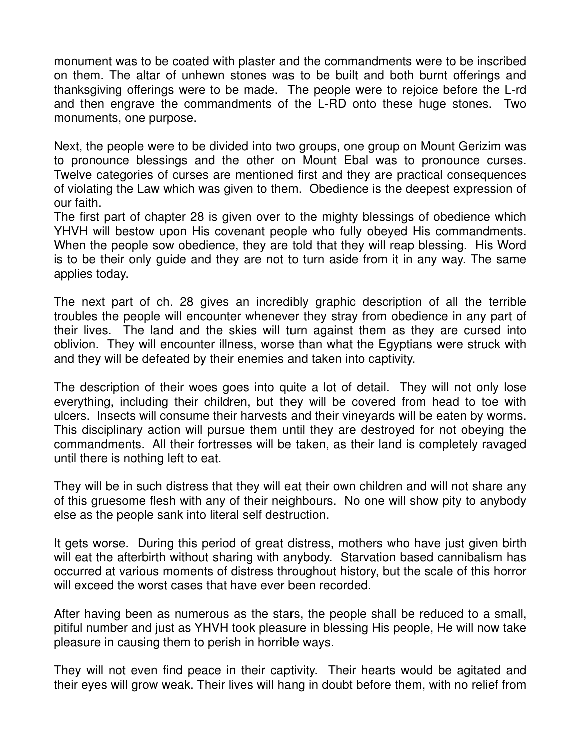monument was to be coated with plaster and the commandments were to be inscribed on them. The altar of unhewn stones was to be built and both burnt offerings and thanksgiving offerings were to be made. The people were to rejoice before the L-rd and then engrave the commandments of the L-RD onto these huge stones. Two monuments, one purpose.

Next, the people were to be divided into two groups, one group on Mount Gerizim was to pronounce blessings and the other on Mount Ebal was to pronounce curses. Twelve categories of curses are mentioned first and they are practical consequences of violating the Law which was given to them. Obedience is the deepest expression of our faith.

The first part of chapter 28 is given over to the mighty blessings of obedience which YHVH will bestow upon His covenant people who fully obeyed His commandments. When the people sow obedience, they are told that they will reap blessing. His Word is to be their only guide and they are not to turn aside from it in any way. The same applies today.

The next part of ch. 28 gives an incredibly graphic description of all the terrible troubles the people will encounter whenever they stray from obedience in any part of their lives. The land and the skies will turn against them as they are cursed into oblivion. They will encounter illness, worse than what the Egyptians were struck with and they will be defeated by their enemies and taken into captivity.

The description of their woes goes into quite a lot of detail. They will not only lose everything, including their children, but they will be covered from head to toe with ulcers. Insects will consume their harvests and their vineyards will be eaten by worms. This disciplinary action will pursue them until they are destroyed for not obeying the commandments. All their fortresses will be taken, as their land is completely ravaged until there is nothing left to eat.

They will be in such distress that they will eat their own children and will not share any of this gruesome flesh with any of their neighbours. No one will show pity to anybody else as the people sank into literal self destruction.

It gets worse. During this period of great distress, mothers who have just given birth will eat the afterbirth without sharing with anybody. Starvation based cannibalism has occurred at various moments of distress throughout history, but the scale of this horror will exceed the worst cases that have ever been recorded.

After having been as numerous as the stars, the people shall be reduced to a small, pitiful number and just as YHVH took pleasure in blessing His people, He will now take pleasure in causing them to perish in horrible ways.

They will not even find peace in their captivity. Their hearts would be agitated and their eyes will grow weak. Their lives will hang in doubt before them, with no relief from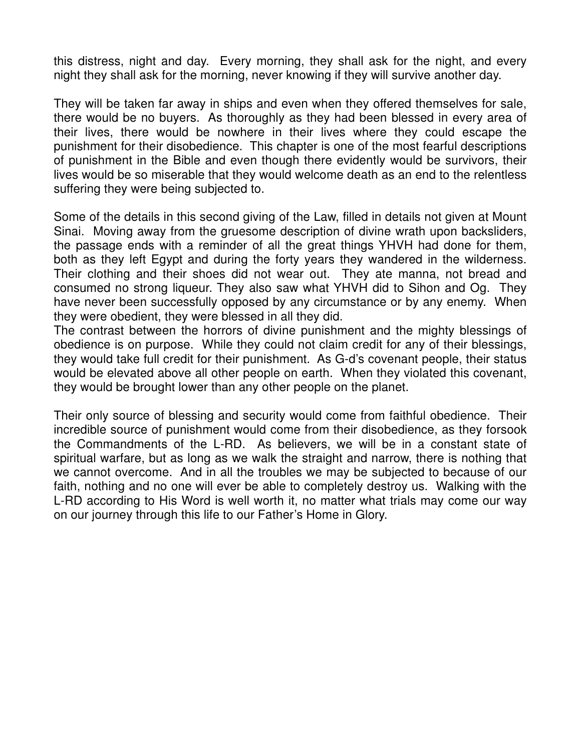this distress, night and day. Every morning, they shall ask for the night, and every night they shall ask for the morning, never knowing if they will survive another day.

They will be taken far away in ships and even when they offered themselves for sale, there would be no buyers. As thoroughly as they had been blessed in every area of their lives, there would be nowhere in their lives where they could escape the punishment for their disobedience. This chapter is one of the most fearful descriptions of punishment in the Bible and even though there evidently would be survivors, their lives would be so miserable that they would welcome death as an end to the relentless suffering they were being subjected to.

Some of the details in this second giving of the Law, filled in details not given at Mount Sinai. Moving away from the gruesome description of divine wrath upon backsliders, the passage ends with a reminder of all the great things YHVH had done for them, both as they left Egypt and during the forty years they wandered in the wilderness. Their clothing and their shoes did not wear out. They ate manna, not bread and consumed no strong liqueur. They also saw what YHVH did to Sihon and Og. They have never been successfully opposed by any circumstance or by any enemy. When they were obedient, they were blessed in all they did.

The contrast between the horrors of divine punishment and the mighty blessings of obedience is on purpose. While they could not claim credit for any of their blessings, they would take full credit for their punishment. As G-d's covenant people, their status would be elevated above all other people on earth. When they violated this covenant, they would be brought lower than any other people on the planet.

Their only source of blessing and security would come from faithful obedience. Their incredible source of punishment would come from their disobedience, as they forsook the Commandments of the L-RD. As believers, we will be in a constant state of spiritual warfare, but as long as we walk the straight and narrow, there is nothing that we cannot overcome. And in all the troubles we may be subjected to because of our faith, nothing and no one will ever be able to completely destroy us. Walking with the L-RD according to His Word is well worth it, no matter what trials may come our way on our journey through this life to our Father's Home in Glory.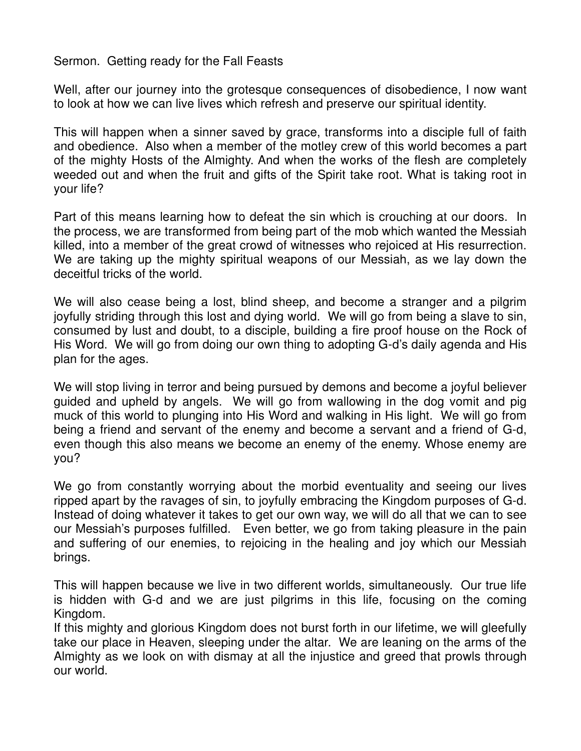Sermon. Getting ready for the Fall Feasts

Well, after our journey into the grotesque consequences of disobedience, I now want to look at how we can live lives which refresh and preserve our spiritual identity.

This will happen when a sinner saved by grace, transforms into a disciple full of faith and obedience. Also when a member of the motley crew of this world becomes a part of the mighty Hosts of the Almighty. And when the works of the flesh are completely weeded out and when the fruit and gifts of the Spirit take root. What is taking root in your life?

Part of this means learning how to defeat the sin which is crouching at our doors. In the process, we are transformed from being part of the mob which wanted the Messiah killed, into a member of the great crowd of witnesses who rejoiced at His resurrection. We are taking up the mighty spiritual weapons of our Messiah, as we lay down the deceitful tricks of the world.

We will also cease being a lost, blind sheep, and become a stranger and a pilgrim joyfully striding through this lost and dying world. We will go from being a slave to sin, consumed by lust and doubt, to a disciple, building a fire proof house on the Rock of His Word. We will go from doing our own thing to adopting G-d's daily agenda and His plan for the ages.

We will stop living in terror and being pursued by demons and become a joyful believer guided and upheld by angels. We will go from wallowing in the dog vomit and pig muck of this world to plunging into His Word and walking in His light. We will go from being a friend and servant of the enemy and become a servant and a friend of G-d, even though this also means we become an enemy of the enemy. Whose enemy are you?

We go from constantly worrying about the morbid eventuality and seeing our lives ripped apart by the ravages of sin, to joyfully embracing the Kingdom purposes of G-d. Instead of doing whatever it takes to get our own way, we will do all that we can to see our Messiah's purposes fulfilled. Even better, we go from taking pleasure in the pain and suffering of our enemies, to rejoicing in the healing and joy which our Messiah brings.

This will happen because we live in two different worlds, simultaneously. Our true life is hidden with G-d and we are just pilgrims in this life, focusing on the coming Kingdom.

If this mighty and glorious Kingdom does not burst forth in our lifetime, we will gleefully take our place in Heaven, sleeping under the altar. We are leaning on the arms of the Almighty as we look on with dismay at all the injustice and greed that prowls through our world.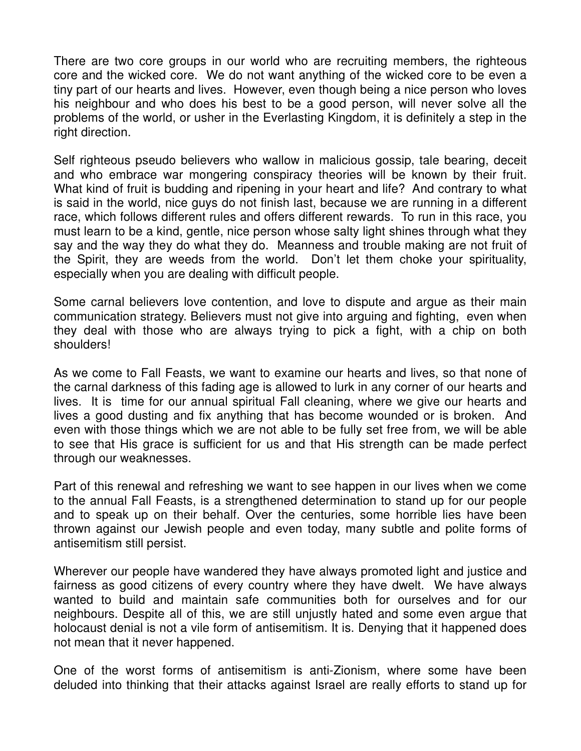There are two core groups in our world who are recruiting members, the righteous core and the wicked core. We do not want anything of the wicked core to be even a tiny part of our hearts and lives. However, even though being a nice person who loves his neighbour and who does his best to be a good person, will never solve all the problems of the world, or usher in the Everlasting Kingdom, it is definitely a step in the right direction.

Self righteous pseudo believers who wallow in malicious gossip, tale bearing, deceit and who embrace war mongering conspiracy theories will be known by their fruit. What kind of fruit is budding and ripening in your heart and life? And contrary to what is said in the world, nice guys do not finish last, because we are running in a different race, which follows different rules and offers different rewards. To run in this race, you must learn to be a kind, gentle, nice person whose salty light shines through what they say and the way they do what they do. Meanness and trouble making are not fruit of the Spirit, they are weeds from the world. Don't let them choke your spirituality, especially when you are dealing with difficult people.

Some carnal believers love contention, and love to dispute and argue as their main communication strategy. Believers must not give into arguing and fighting, even when they deal with those who are always trying to pick a fight, with a chip on both shoulders!

As we come to Fall Feasts, we want to examine our hearts and lives, so that none of the carnal darkness of this fading age is allowed to lurk in any corner of our hearts and lives. It is time for our annual spiritual Fall cleaning, where we give our hearts and lives a good dusting and fix anything that has become wounded or is broken. And even with those things which we are not able to be fully set free from, we will be able to see that His grace is sufficient for us and that His strength can be made perfect through our weaknesses.

Part of this renewal and refreshing we want to see happen in our lives when we come to the annual Fall Feasts, is a strengthened determination to stand up for our people and to speak up on their behalf. Over the centuries, some horrible lies have been thrown against our Jewish people and even today, many subtle and polite forms of antisemitism still persist.

Wherever our people have wandered they have always promoted light and justice and fairness as good citizens of every country where they have dwelt. We have always wanted to build and maintain safe communities both for ourselves and for our neighbours. Despite all of this, we are still unjustly hated and some even argue that holocaust denial is not a vile form of antisemitism. It is. Denying that it happened does not mean that it never happened.

One of the worst forms of antisemitism is anti-Zionism, where some have been deluded into thinking that their attacks against Israel are really efforts to stand up for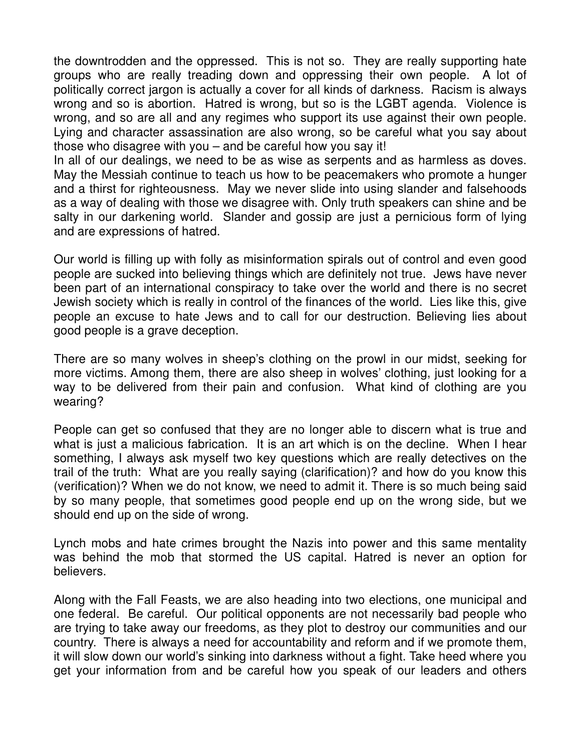the downtrodden and the oppressed. This is not so. They are really supporting hate groups who are really treading down and oppressing their own people. A lot of politically correct jargon is actually a cover for all kinds of darkness. Racism is always wrong and so is abortion. Hatred is wrong, but so is the LGBT agenda. Violence is wrong, and so are all and any regimes who support its use against their own people. Lying and character assassination are also wrong, so be careful what you say about those who disagree with you – and be careful how you say it!

In all of our dealings, we need to be as wise as serpents and as harmless as doves. May the Messiah continue to teach us how to be peacemakers who promote a hunger and a thirst for righteousness. May we never slide into using slander and falsehoods as a way of dealing with those we disagree with. Only truth speakers can shine and be salty in our darkening world. Slander and gossip are just a pernicious form of lying and are expressions of hatred.

Our world is filling up with folly as misinformation spirals out of control and even good people are sucked into believing things which are definitely not true. Jews have never been part of an international conspiracy to take over the world and there is no secret Jewish society which is really in control of the finances of the world. Lies like this, give people an excuse to hate Jews and to call for our destruction. Believing lies about good people is a grave deception.

There are so many wolves in sheep's clothing on the prowl in our midst, seeking for more victims. Among them, there are also sheep in wolves' clothing, just looking for a way to be delivered from their pain and confusion. What kind of clothing are you wearing?

People can get so confused that they are no longer able to discern what is true and what is just a malicious fabrication. It is an art which is on the decline. When I hear something, I always ask myself two key questions which are really detectives on the trail of the truth: What are you really saying (clarification)? and how do you know this (verification)? When we do not know, we need to admit it. There is so much being said by so many people, that sometimes good people end up on the wrong side, but we should end up on the side of wrong.

Lynch mobs and hate crimes brought the Nazis into power and this same mentality was behind the mob that stormed the US capital. Hatred is never an option for believers.

Along with the Fall Feasts, we are also heading into two elections, one municipal and one federal. Be careful. Our political opponents are not necessarily bad people who are trying to take away our freedoms, as they plot to destroy our communities and our country. There is always a need for accountability and reform and if we promote them, it will slow down our world's sinking into darkness without a fight. Take heed where you get your information from and be careful how you speak of our leaders and others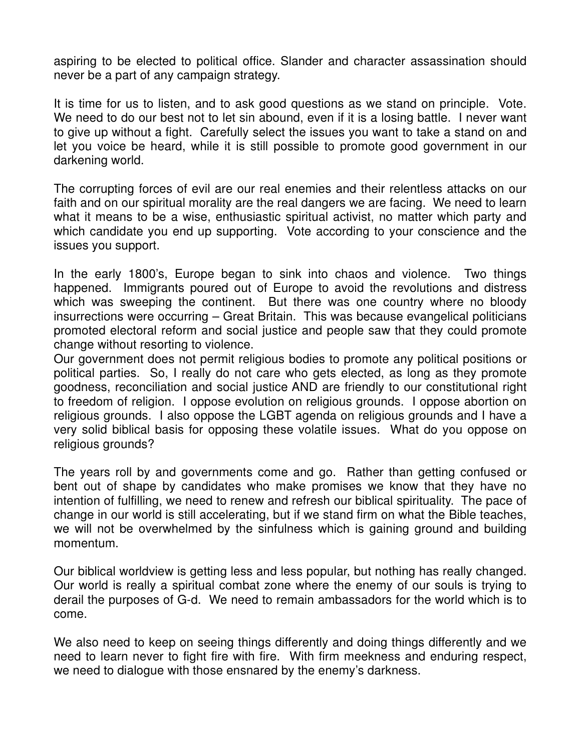aspiring to be elected to political office. Slander and character assassination should never be a part of any campaign strategy.

It is time for us to listen, and to ask good questions as we stand on principle. Vote. We need to do our best not to let sin abound, even if it is a losing battle. I never want to give up without a fight. Carefully select the issues you want to take a stand on and let you voice be heard, while it is still possible to promote good government in our darkening world.

The corrupting forces of evil are our real enemies and their relentless attacks on our faith and on our spiritual morality are the real dangers we are facing. We need to learn what it means to be a wise, enthusiastic spiritual activist, no matter which party and which candidate you end up supporting. Vote according to your conscience and the issues you support.

In the early 1800's, Europe began to sink into chaos and violence. Two things happened. Immigrants poured out of Europe to avoid the revolutions and distress which was sweeping the continent. But there was one country where no bloody insurrections were occurring – Great Britain. This was because evangelical politicians promoted electoral reform and social justice and people saw that they could promote change without resorting to violence.

Our government does not permit religious bodies to promote any political positions or political parties. So, I really do not care who gets elected, as long as they promote goodness, reconciliation and social justice AND are friendly to our constitutional right to freedom of religion. I oppose evolution on religious grounds. I oppose abortion on religious grounds. I also oppose the LGBT agenda on religious grounds and I have a very solid biblical basis for opposing these volatile issues. What do you oppose on religious grounds?

The years roll by and governments come and go. Rather than getting confused or bent out of shape by candidates who make promises we know that they have no intention of fulfilling, we need to renew and refresh our biblical spirituality. The pace of change in our world is still accelerating, but if we stand firm on what the Bible teaches, we will not be overwhelmed by the sinfulness which is gaining ground and building momentum.

Our biblical worldview is getting less and less popular, but nothing has really changed. Our world is really a spiritual combat zone where the enemy of our souls is trying to derail the purposes of G-d. We need to remain ambassadors for the world which is to come.

We also need to keep on seeing things differently and doing things differently and we need to learn never to fight fire with fire. With firm meekness and enduring respect, we need to dialogue with those ensnared by the enemy's darkness.